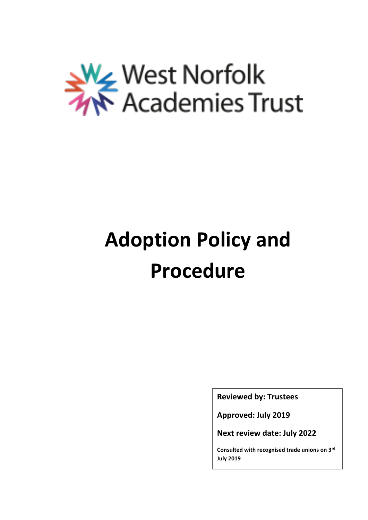

# **Adoption Policy and Procedure**

**Reviewed by: Trustees**

**Approved: July 2019**

**Next review date: July 2022**

**Consulted with recognised trade unions on 3rd July 2019**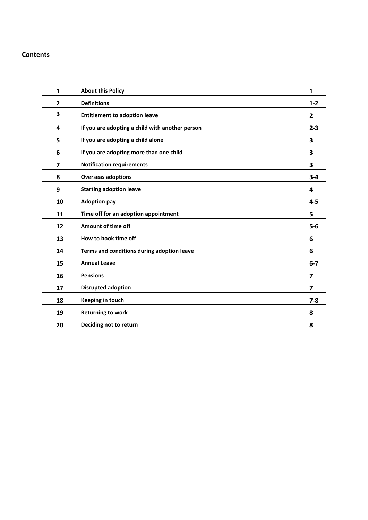#### **Contents**

| $\mathbf{1}$            | <b>About this Policy</b>                        | $\mathbf{1}$            |
|-------------------------|-------------------------------------------------|-------------------------|
| 2                       | <b>Definitions</b>                              | $1 - 2$                 |
| 3                       | <b>Entitlement to adoption leave</b>            | 2                       |
| 4                       | If you are adopting a child with another person | $2 - 3$                 |
| 5                       | If you are adopting a child alone               | 3                       |
| 6                       | If you are adopting more than one child         | 3                       |
| $\overline{\mathbf{z}}$ | <b>Notification requirements</b>                | 3                       |
| 8                       | <b>Overseas adoptions</b>                       | $3 - 4$                 |
| 9                       | <b>Starting adoption leave</b>                  | 4                       |
| 10                      | <b>Adoption pay</b>                             | $4 - 5$                 |
| 11                      | Time off for an adoption appointment            | 5                       |
| 12                      | Amount of time off                              | $5-6$                   |
| 13                      | How to book time off                            | 6                       |
| 14                      | Terms and conditions during adoption leave      | 6                       |
| 15                      | <b>Annual Leave</b>                             | $6-7$                   |
| 16                      | <b>Pensions</b>                                 | $\overline{\mathbf{z}}$ |
| 17                      | <b>Disrupted adoption</b>                       | $\overline{\mathbf{z}}$ |
| 18                      | Keeping in touch                                | $7 - 8$                 |
| 19                      | <b>Returning to work</b>                        | 8                       |
| 20                      | Deciding not to return                          | 8                       |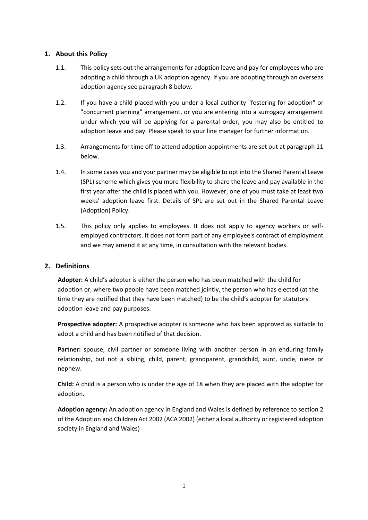## **1. About this Policy**

- 1.1. This policy sets out the arrangements for adoption leave and pay for employees who are adopting a child through a UK adoption agency. If you are adopting through an overseas adoption agency see paragraph 8 below.
- 1.2. If you have a child placed with you under a local authority "fostering for adoption" or "concurrent planning" arrangement, or you are entering into a surrogacy arrangement under which you will be applying for a parental order, you may also be entitled to adoption leave and pay. Please speak to your line manager for further information.
- 1.3. Arrangements for time off to attend adoption appointments are set out at paragraph 11 below.
- 1.4. In some cases you and your partner may be eligible to opt into the Shared Parental Leave (SPL) scheme which gives you more flexibility to share the leave and pay available in the first year after the child is placed with you. However, one of you must take at least two weeks' adoption leave first. Details of SPL are set out in the Shared Parental Leave (Adoption) Policy.
- 1.5. This policy only applies to employees. It does not apply to agency workers or selfemployed contractors. It does not form part of any employee's contract of employment and we may amend it at any time, in consultation with the relevant bodies.

#### **2. Definitions**

**Adopter:** A child's adopter is either the person who has been matched with the child for adoption or, where two people have been matched jointly, the person who has elected (at the time they are notified that they have been matched) to be the child's adopter for statutory adoption leave and pay purposes.

**Prospective adopter:** A prospective adopter is someone who has been approved as suitable to adopt a child and has been notified of that decision.

**Partner:** spouse, civil partner or someone living with another person in an enduring family relationship, but not a sibling, child, parent, grandparent, grandchild, aunt, uncle, niece or nephew.

**Child:** A child is a person who is under the age of 18 when they are placed with the adopter for adoption.

**Adoption agency:** An adoption agency in England and Wales is defined by reference to section 2 of the Adoption and Children Act 2002 (ACA 2002) (either a local authority or registered adoption society in England and Wales)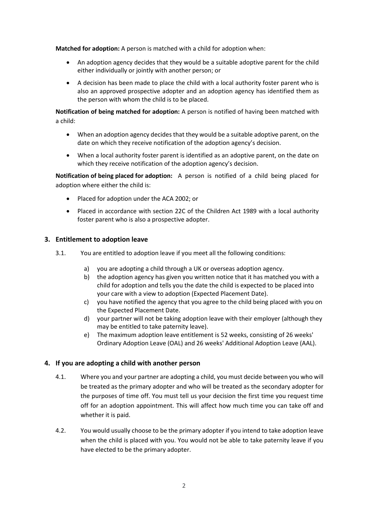**Matched for adoption:** A person is matched with a child for adoption when:

- An adoption agency decides that they would be a suitable adoptive parent for the child either individually or jointly with another person; or
- A decision has been made to place the child with a local authority foster parent who is also an approved prospective adopter and an adoption agency has identified them as the person with whom the child is to be placed.

**Notification of being matched for adoption:** A person is notified of having been matched with a child:

- When an adoption agency decides that they would be a suitable adoptive parent, on the date on which they receive notification of the adoption agency's decision.
- When a local authority foster parent is identified as an adoptive parent, on the date on which they receive notification of the adoption agency's decision.

**Notification of being placed for adoption:** A person is notified of a child being placed for adoption where either the child is:

- Placed for adoption under the ACA 2002; or
- Placed in accordance with section 22C of the Children Act 1989 with a local authority foster parent who is also a prospective adopter.

#### **3. Entitlement to adoption leave**

- 3.1. You are entitled to adoption leave if you meet all the following conditions:
	- a) you are adopting a child through a UK or overseas adoption agency.
	- b) the adoption agency has given you written notice that it has matched you with a child for adoption and tells you the date the child is expected to be placed into your care with a view to adoption (Expected Placement Date).
	- c) you have notified the agency that you agree to the child being placed with you on the Expected Placement Date.
	- d) your partner will not be taking adoption leave with their employer (although they may be entitled to take paternity leave).
	- e) The maximum adoption leave entitlement is 52 weeks, consisting of 26 weeks' Ordinary Adoption Leave (OAL) and 26 weeks' Additional Adoption Leave (AAL).

#### **4. If you are adopting a child with another person**

- 4.1. Where you and your partner are adopting a child, you must decide between you who will be treated as the primary adopter and who will be treated as the secondary adopter for the purposes of time off. You must tell us your decision the first time you request time off for an adoption appointment. This will affect how much time you can take off and whether it is paid.
- 4.2. You would usually choose to be the primary adopter if you intend to take adoption leave when the child is placed with you. You would not be able to take paternity leave if you have elected to be the primary adopter.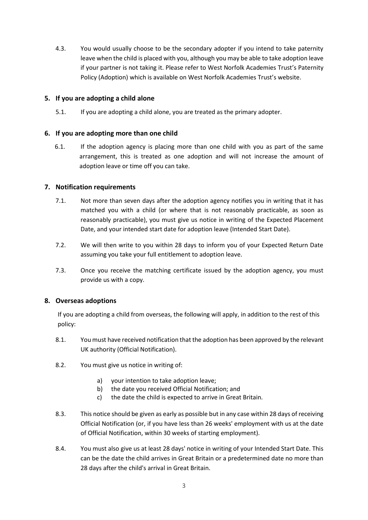4.3. You would usually choose to be the secondary adopter if you intend to take paternity leave when the child is placed with you, although you may be able to take adoption leave if your partner is not taking it. Please refer to West Norfolk Academies Trust's Paternity Policy (Adoption) which is available on West Norfolk Academies Trust's website.

## **5. If you are adopting a child alone**

5.1. If you are adopting a child alone, you are treated as the primary adopter.

## **6. If you are adopting more than one child**

6.1. If the adoption agency is placing more than one child with you as part of the same arrangement, this is treated as one adoption and will not increase the amount of adoption leave or time off you can take.

## **7. Notification requirements**

- 7.1. Not more than seven days after the adoption agency notifies you in writing that it has matched you with a child (or where that is not reasonably practicable, as soon as reasonably practicable), you must give us notice in writing of the Expected Placement Date, and your intended start date for adoption leave (Intended Start Date).
- 7.2. We will then write to you within 28 days to inform you of your Expected Return Date assuming you take your full entitlement to adoption leave.
- 7.3. Once you receive the matching certificate issued by the adoption agency, you must provide us with a copy.

#### **8. Overseas adoptions**

If you are adopting a child from overseas, the following will apply, in addition to the rest of this policy:

- 8.1. You must have received notification that the adoption has been approved by the relevant UK authority (Official Notification).
- 8.2. You must give us notice in writing of:
	- a) your intention to take adoption leave;
	- b) the date you received Official Notification; and
	- c) the date the child is expected to arrive in Great Britain.
- 8.3. This notice should be given as early as possible but in any case within 28 days of receiving Official Notification (or, if you have less than 26 weeks' employment with us at the date of Official Notification, within 30 weeks of starting employment).
- 8.4. You must also give us at least 28 days' notice in writing of your Intended Start Date. This can be the date the child arrives in Great Britain or a predetermined date no more than 28 days after the child's arrival in Great Britain.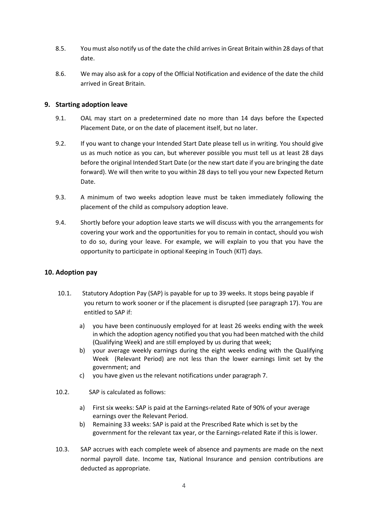- 8.5. You must also notify us of the date the child arrives in Great Britain within 28 days of that date.
- 8.6. We may also ask for a copy of the Official Notification and evidence of the date the child arrived in Great Britain.

## **9. Starting adoption leave**

- 9.1. OAL may start on a predetermined date no more than 14 days before the Expected Placement Date, or on the date of placement itself, but no later.
- 9.2. If you want to change your Intended Start Date please tell us in writing. You should give us as much notice as you can, but wherever possible you must tell us at least 28 days before the original Intended Start Date (or the new start date if you are bringing the date forward). We will then write to you within 28 days to tell you your new Expected Return Date.
- 9.3. A minimum of two weeks adoption leave must be taken immediately following the placement of the child as compulsory adoption leave.
- 9.4. Shortly before your adoption leave starts we will discuss with you the arrangements for covering your work and the opportunities for you to remain in contact, should you wish to do so, during your leave. For example, we will explain to you that you have the opportunity to participate in optional Keeping in Touch (KIT) days.

## **10. Adoption pay**

- 10.1. Statutory Adoption Pay (SAP) is payable for up to 39 weeks. It stops being payable if you return to work sooner or if the placement is disrupted (see paragraph 17). You are entitled to SAP if:
	- a) you have been continuously employed for at least 26 weeks ending with the week in which the adoption agency notified you that you had been matched with the child (Qualifying Week) and are still employed by us during that week;
	- b) your average weekly earnings during the eight weeks ending with the Qualifying Week (Relevant Period) are not less than the lower earnings limit set by the government; and
	- c) you have given us the relevant notifications under paragraph 7.
- 10.2. SAP is calculated as follows:
	- a) First six weeks: SAP is paid at the Earnings-related Rate of 90% of your average earnings over the Relevant Period.
	- b) Remaining 33 weeks: SAP is paid at the Prescribed Rate which is set by the government for the relevant tax year, or the Earnings-related Rate if this is lower.
- 10.3. SAP accrues with each complete week of absence and payments are made on the next normal payroll date. Income tax, National Insurance and pension contributions are deducted as appropriate.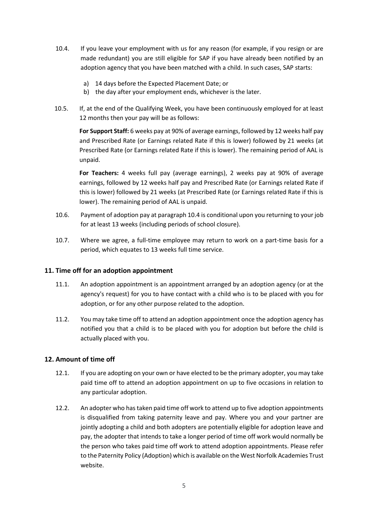- 10.4. If you leave your employment with us for any reason (for example, if you resign or are made redundant) you are still eligible for SAP if you have already been notified by an adoption agency that you have been matched with a child. In such cases, SAP starts:
	- a) 14 days before the Expected Placement Date; or
	- b) the day after your employment ends, whichever is the later.
- 10.5. If, at the end of the Qualifying Week, you have been continuously employed for at least 12 months then your pay will be as follows:

**For Support Staff:** 6 weeks pay at 90% of average earnings, followed by 12 weeks half pay and Prescribed Rate (or Earnings related Rate if this is lower) followed by 21 weeks (at Prescribed Rate (or Earnings related Rate if this is lower). The remaining period of AAL is unpaid.

**For Teachers:** 4 weeks full pay (average earnings), 2 weeks pay at 90% of average earnings, followed by 12 weeks half pay and Prescribed Rate (or Earnings related Rate if this is lower) followed by 21 weeks (at Prescribed Rate (or Earnings related Rate if this is lower). The remaining period of AAL is unpaid.

- 10.6. Payment of adoption pay at paragraph 10.4 is conditional upon you returning to your job for at least 13 weeks (including periods of school closure).
- 10.7. Where we agree, a full-time employee may return to work on a part-time basis for a period, which equates to 13 weeks full time service.

#### **11. Time off for an adoption appointment**

- 11.1. An adoption appointment is an appointment arranged by an adoption agency (or at the agency's request) for you to have contact with a child who is to be placed with you for adoption, or for any other purpose related to the adoption.
- 11.2. You may take time off to attend an adoption appointment once the adoption agency has notified you that a child is to be placed with you for adoption but before the child is actually placed with you.

#### **12. Amount of time off**

- 12.1. If you are adopting on your own or have elected to be the primary adopter, you may take paid time off to attend an adoption appointment on up to five occasions in relation to any particular adoption.
- 12.2. An adopter who has taken paid time off work to attend up to five adoption appointments is disqualified from taking paternity leave and pay. Where you and your partner are jointly adopting a child and both adopters are potentially eligible for adoption leave and pay, the adopter that intends to take a longer period of time off work would normally be the person who takes paid time off work to attend adoption appointments. Please refer to the Paternity Policy (Adoption) which is available on the West Norfolk Academies Trust website.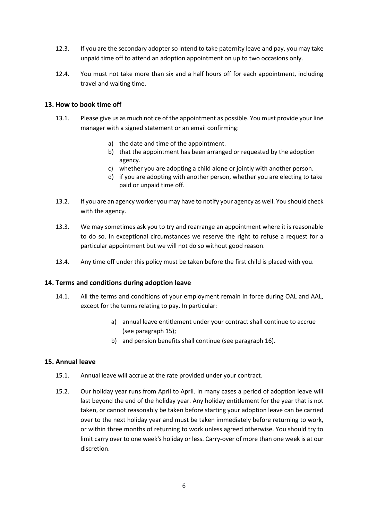- 12.3. If you are the secondary adopter so intend to take paternity leave and pay, you may take unpaid time off to attend an adoption appointment on up to two occasions only.
- 12.4. You must not take more than six and a half hours off for each appointment, including travel and waiting time.

## **13. How to book time off**

- 13.1. Please give us as much notice of the appointment as possible. You must provide your line manager with a signed statement or an email confirming:
	- a) the date and time of the appointment.
	- b) that the appointment has been arranged or requested by the adoption agency.
	- c) whether you are adopting a child alone or jointly with another person.
	- d) if you are adopting with another person, whether you are electing to take paid or unpaid time off.
- 13.2. If you are an agency worker you may have to notify your agency as well. You should check with the agency.
- 13.3. We may sometimes ask you to try and rearrange an appointment where it is reasonable to do so. In exceptional circumstances we reserve the right to refuse a request for a particular appointment but we will not do so without good reason.
- 13.4. Any time off under this policy must be taken before the first child is placed with you.

#### **14. Terms and conditions during adoption leave**

- 14.1. All the terms and conditions of your employment remain in force during OAL and AAL, except for the terms relating to pay. In particular:
	- a) annual leave entitlement under your contract shall continue to accrue (see paragraph 15);
	- b) and pension benefits shall continue (see paragraph 16).

#### **15. Annual leave**

- 15.1. Annual leave will accrue at the rate provided under your contract.
- 15.2. Our holiday year runs from April to April. In many cases a period of adoption leave will last beyond the end of the holiday year. Any holiday entitlement for the year that is not taken, or cannot reasonably be taken before starting your adoption leave can be carried over to the next holiday year and must be taken immediately before returning to work, or within three months of returning to work unless agreed otherwise. You should try to limit carry over to one week's holiday or less. Carry-over of more than one week is at our discretion.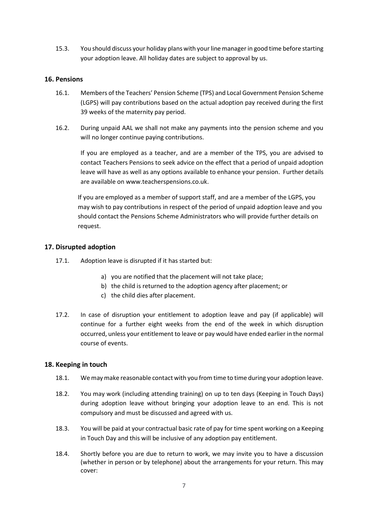15.3. You should discuss your holiday plans with your line manager in good time before starting your adoption leave. All holiday dates are subject to approval by us.

#### **16. Pensions**

- 16.1. Members of the Teachers' Pension Scheme (TPS) and Local Government Pension Scheme (LGPS) will pay contributions based on the actual adoption pay received during the first 39 weeks of the maternity pay period.
- 16.2. During unpaid AAL we shall not make any payments into the pension scheme and you will no longer continue paying contributions.

If you are employed as a teacher, and are a member of the TPS, you are advised to contact Teachers Pensions to seek advice on the effect that a period of unpaid adoption leave will have as well as any options available to enhance your pension. Further details are available o[n www.teacherspensions.co.uk.](http://www.teacherspensions.co.uk/)

If you are employed as a member of support staff, and are a member of the LGPS, you may wish to pay contributions in respect of the period of unpaid adoption leave and you should contact the Pensions Scheme Administrators who will provide further details on request.

#### **17. Disrupted adoption**

- 17.1. Adoption leave is disrupted if it has started but:
	- a) you are notified that the placement will not take place;
	- b) the child is returned to the adoption agency after placement; or
	- c) the child dies after placement.
- 17.2. In case of disruption your entitlement to adoption leave and pay (if applicable) will continue for a further eight weeks from the end of the week in which disruption occurred, unless your entitlement to leave or pay would have ended earlier in the normal course of events.

#### **18. Keeping in touch**

- 18.1. We may make reasonable contact with you from time to time during your adoption leave.
- 18.2. You may work (including attending training) on up to ten days (Keeping in Touch Days) during adoption leave without bringing your adoption leave to an end. This is not compulsory and must be discussed and agreed with us.
- 18.3. You will be paid at your contractual basic rate of pay for time spent working on a Keeping in Touch Day and this will be inclusive of any adoption pay entitlement.
- 18.4. Shortly before you are due to return to work, we may invite you to have a discussion (whether in person or by telephone) about the arrangements for your return. This may cover: